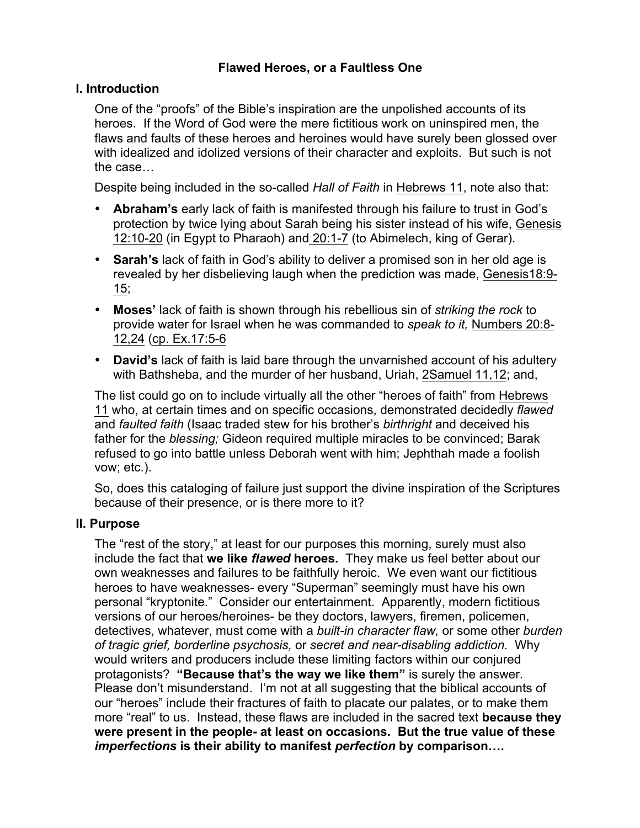## **Flawed Heroes, or a Faultless One**

## **I. Introduction**

One of the "proofs" of the Bible's inspiration are the unpolished accounts of its heroes. If the Word of God were the mere fictitious work on uninspired men, the flaws and faults of these heroes and heroines would have surely been glossed over with idealized and idolized versions of their character and exploits. But such is not the case…

Despite being included in the so-called *Hall of Faith* in Hebrews 11, note also that:

- **Abraham's** early lack of faith is manifested through his failure to trust in God's protection by twice lying about Sarah being his sister instead of his wife, Genesis 12:10-20 (in Egypt to Pharaoh) and 20:1-7 (to Abimelech, king of Gerar).
- **Sarah's** lack of faith in God's ability to deliver a promised son in her old age is revealed by her disbelieving laugh when the prediction was made, Genesis18:9- 15;
- **Moses'** lack of faith is shown through his rebellious sin of *striking the rock* to provide water for Israel when he was commanded to *speak to it,* Numbers 20:8- 12,24 (cp. Ex.17:5-6
- **David's** lack of faith is laid bare through the unvarnished account of his adultery with Bathsheba, and the murder of her husband, Uriah, 2Samuel 11,12; and,

The list could go on to include virtually all the other "heroes of faith" from Hebrews 11 who, at certain times and on specific occasions, demonstrated decidedly *flawed*  and *faulted faith* (Isaac traded stew for his brother's *birthright* and deceived his father for the *blessing;* Gideon required multiple miracles to be convinced; Barak refused to go into battle unless Deborah went with him; Jephthah made a foolish vow; etc.).

So, does this cataloging of failure just support the divine inspiration of the Scriptures because of their presence, or is there more to it?

## **II. Purpose**

The "rest of the story," at least for our purposes this morning, surely must also include the fact that **we like** *flawed* **heroes.** They make us feel better about our own weaknesses and failures to be faithfully heroic. We even want our fictitious heroes to have weaknesses- every "Superman" seemingly must have his own personal "kryptonite." Consider our entertainment. Apparently, modern fictitious versions of our heroes/heroines- be they doctors, lawyers, firemen, policemen, detectives, whatever, must come with a *built-in character flaw,* or some other *burden of tragic grief, borderline psychosis,* or *secret and near-disabling addiction.* Why would writers and producers include these limiting factors within our conjured protagonists? **"Because that's the way we like them"** is surely the answer. Please don't misunderstand. I'm not at all suggesting that the biblical accounts of our "heroes" include their fractures of faith to placate our palates, or to make them more "real" to us. Instead, these flaws are included in the sacred text **because they were present in the people- at least on occasions. But the true value of these**  *imperfections* **is their ability to manifest** *perfection* **by comparison….**